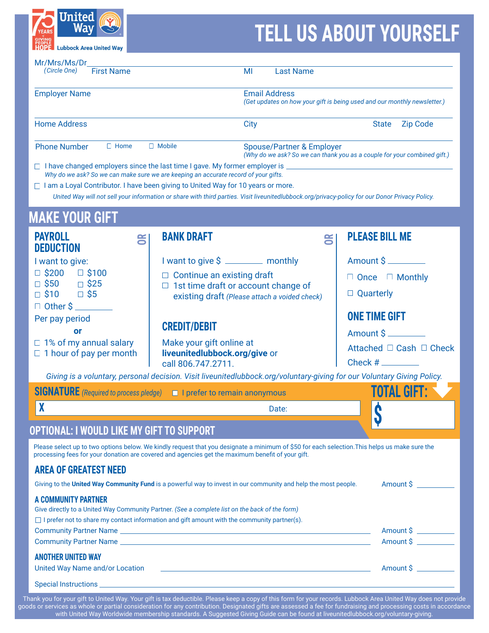

## **TELL US ABOUT YOURSELF**

| Mr/Mrs/Ms/Dr<br><b>First Name</b><br>(Circle One)               |                                                                                                                                                                                                                                                                                                                                                                                                              | MI                                                        | <b>Last Name</b>                                                                                                 |                                   |                      |  |
|-----------------------------------------------------------------|--------------------------------------------------------------------------------------------------------------------------------------------------------------------------------------------------------------------------------------------------------------------------------------------------------------------------------------------------------------------------------------------------------------|-----------------------------------------------------------|------------------------------------------------------------------------------------------------------------------|-----------------------------------|----------------------|--|
| <b>Employer Name</b>                                            |                                                                                                                                                                                                                                                                                                                                                                                                              |                                                           | <b>Email Address</b><br>(Get updates on how your gift is being used and our monthly newsletter.)                 |                                   |                      |  |
| <b>Home Address</b>                                             |                                                                                                                                                                                                                                                                                                                                                                                                              | City                                                      |                                                                                                                  | <b>State</b>                      | <b>Zip Code</b>      |  |
| $\Box$ Mobile<br><b>Phone Number</b><br>$\Box$ Home             |                                                                                                                                                                                                                                                                                                                                                                                                              |                                                           | <b>Spouse/Partner &amp; Employer</b><br>(Why do we ask? So we can thank you as a couple for your combined gift.) |                                   |                      |  |
|                                                                 | □ I have changed employers since the last time I gave. My former employer is<br>Why do we ask? So we can make sure we are keeping an accurate record of your gifts.<br>□ I am a Loyal Contributor. I have been giving to United Way for 10 years or more.<br>United Way will not sell your information or share with third parties. Visit liveunitedlubbock.org/privacy-policy for our Donor Privacy Policy. |                                                           |                                                                                                                  |                                   |                      |  |
| <b>MAKE YOUR GIFT</b>                                           |                                                                                                                                                                                                                                                                                                                                                                                                              |                                                           |                                                                                                                  |                                   |                      |  |
| <b>PAYROLL</b><br><b>DEDUCTION</b>                              | <b>BANK DRAFT</b><br>g                                                                                                                                                                                                                                                                                                                                                                                       |                                                           | g                                                                                                                | <b>PLEASE BILL ME</b>             |                      |  |
| I want to give:                                                 |                                                                                                                                                                                                                                                                                                                                                                                                              | I want to give \$ _______ monthly                         |                                                                                                                  | Amount \$                         |                      |  |
| $\Box$ \$200<br>$\square$ \$100                                 |                                                                                                                                                                                                                                                                                                                                                                                                              | $\Box$ Continue an existing draft                         |                                                                                                                  | $\Box$ Once $\Box$ Monthly        |                      |  |
| $\Box$ \$50<br>$\Box$ \$25<br>$\Box$ \$10                       | $\Box$ \$5                                                                                                                                                                                                                                                                                                                                                                                                   |                                                           | $\Box$ 1st time draft or account change of                                                                       |                                   | $\Box$ Quarterly     |  |
| $\Box$ Other $\sin \theta$                                      |                                                                                                                                                                                                                                                                                                                                                                                                              | existing draft (Please attach a voided check)             |                                                                                                                  |                                   |                      |  |
| Per pay period                                                  |                                                                                                                                                                                                                                                                                                                                                                                                              |                                                           |                                                                                                                  |                                   | <b>ONE TIME GIFT</b> |  |
| or                                                              | <b>CREDIT/DEBIT</b>                                                                                                                                                                                                                                                                                                                                                                                          |                                                           |                                                                                                                  | Amount \$                         |                      |  |
| $\Box$ 1% of my annual salary<br>$\Box$ 1 hour of pay per month | call 806.747.2711.                                                                                                                                                                                                                                                                                                                                                                                           | Make your gift online at<br>liveunitedlubbock.org/give or |                                                                                                                  | Attached $\Box$ Cash $\Box$ Check |                      |  |
|                                                                 | Giving is a voluntary, personal decision. Visit liveunitedlubbock.org/voluntary-giving for our Voluntary Giving Policy.                                                                                                                                                                                                                                                                                      |                                                           |                                                                                                                  |                                   |                      |  |
|                                                                 | <b>SIGNATURE</b> (Required to process pledge)<br>$\Box$ I prefer to remain anonymous                                                                                                                                                                                                                                                                                                                         |                                                           |                                                                                                                  |                                   | TOTAL GIFT:          |  |
| X                                                               |                                                                                                                                                                                                                                                                                                                                                                                                              |                                                           | Date:                                                                                                            | Ĉ                                 |                      |  |
|                                                                 | OPTIONAL: I WOULD LIKE MY GIFT TO SUPPORT                                                                                                                                                                                                                                                                                                                                                                    |                                                           |                                                                                                                  | Y                                 |                      |  |
|                                                                 | Please select up to two options below. We kindly request that you designate a minimum of \$50 for each selection. This helps us make sure the<br>processing fees for your donation are covered and agencies get the maximum benefit of your gift.                                                                                                                                                            |                                                           |                                                                                                                  |                                   |                      |  |
| <b>AREA OF GREATEST NEED</b>                                    |                                                                                                                                                                                                                                                                                                                                                                                                              |                                                           |                                                                                                                  |                                   |                      |  |
|                                                                 | Giving to the United Way Community Fund is a powerful way to invest in our community and help the most people.                                                                                                                                                                                                                                                                                               |                                                           |                                                                                                                  |                                   | Amount \$            |  |
| <b>A COMMUNITY PARTNER</b>                                      | Give directly to a United Way Community Partner. (See a complete list on the back of the form)<br>$\Box$ I prefer not to share my contact information and gift amount with the community partner(s).                                                                                                                                                                                                         |                                                           |                                                                                                                  |                                   |                      |  |
|                                                                 |                                                                                                                                                                                                                                                                                                                                                                                                              |                                                           |                                                                                                                  |                                   | Amount \$            |  |
|                                                                 |                                                                                                                                                                                                                                                                                                                                                                                                              |                                                           |                                                                                                                  |                                   | Amount \$            |  |
| <b>ANOTHER UNITED WAY</b><br>United Way Name and/or Location    |                                                                                                                                                                                                                                                                                                                                                                                                              |                                                           | <u> 1990 - Jan Alexander de Carlos III (m. 1950)</u>                                                             |                                   | Amount \$            |  |
|                                                                 |                                                                                                                                                                                                                                                                                                                                                                                                              |                                                           |                                                                                                                  |                                   |                      |  |

Thank you for your gift to United Way. Your gift is tax deductible. Please keep a copy of this form for your records. Lubbock Area United Way does not provide goods or services as whole or partial consideration for any contribution. Designated gifts are assessed a fee for fundraising and processing costs in accordance with United Way Worldwide membership standards. A Suggested Giving Guide can be found at [liveunitedlubbock.org/voluntary-giving](http://liveunitedlubbock.org/voluntary-giving).